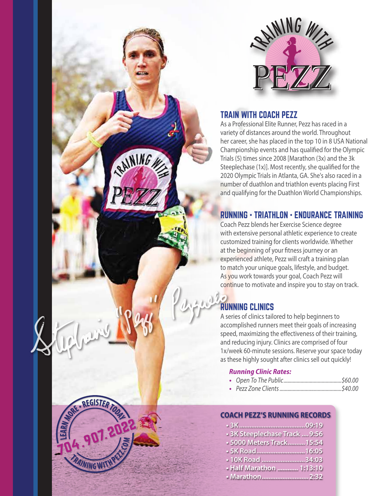

# TRAIN WITH COACH PEZZ

As a Professional Elite Runner, Pezz has raced in a variety of distances around the world. Throughout her career, she has placed in the top 10 in 8 USA National Championship events and has qualified for the Olympic Trials (5) times since 2008 [Marathon (3x) and the 3k Steeplechase  $(1x)$ ]. Most recently, she qualified for the 2020 Olympic Trials in Atlanta, GA. She's also raced in a number of duathlon and triathlon events placing First and qualifying for the Duathlon World Championships.

## RUNNING **•** TRIATHLON **•** ENDURANCE TRAINING

Coach Pezz blends her Exercise Science degree with extensive personal athletic experience to create customized training for clients worldwide. Whether at the beginning of your fitness journey or an experienced athlete, Pezz will craft a training plan to match your unique goals, lifestyle, and budget. As you work towards your goal, Coach Pezz will continue to motivate and inspire you to stay on track.

## $010$ RUNNING CLINICS

A series of clinics tailored to help beginners to accomplished runners meet their goals of increasing speed, maximizing the effectiveness of their training, and reducing injury. Clinics are comprised of four 1x/week 60-minute sessions. Reserve your space today as these highly sought after clinics sell out quickly!

#### *Running Clinic Rates:*

- *• Open To The Public............................................\$60.00*
- *• Pezz Zone Clients ...............................................\$40.00*

### **COACH PEZZ'S RUNNING RECORDS**

| <b>· 3K Steeplechase Track  9:56</b> |  |
|--------------------------------------|--|
| • 5000 Meters Track 15:54            |  |
| • 5K Road16:05                       |  |
| • 10K Road 34:03                     |  |
| • Half Marathon  1:13:10             |  |
| • Marathon2:32                       |  |

RAINING